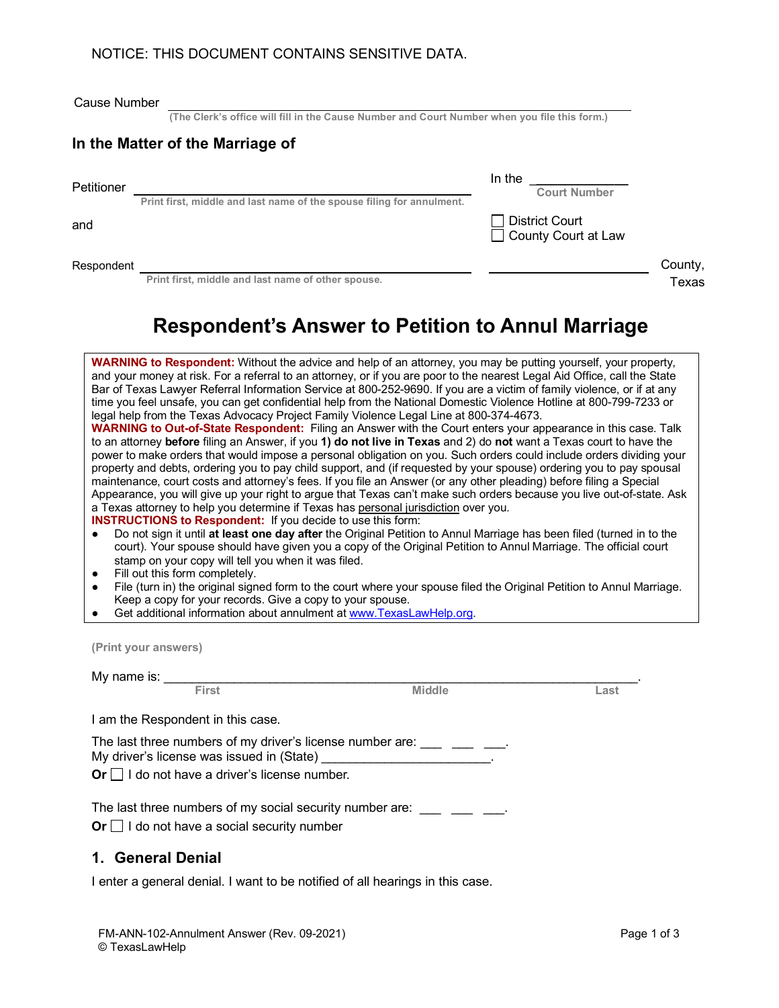#### NOTICE: THIS DOCUMENT CONTAINS SENSITIVE DATA.

|  | Cause Number |
|--|--------------|
|--|--------------|

**(The Clerk's office will fill in the Cause Number and Court Number when you file this form.)**

## **In the Matter of the Marriage of**

Petitioner In the \_**\_\_\_\_\_\_\_\_\_\_\_\_\_ Court Number Print first, middle and last name of the spouse filing for annulment.**

and **District Court** 

Respondent County, and County, and County, and County, and County, and County, and County,  $\sim$ 

**Print first, middle and last name of other spouse.** 

| County, |  |
|---------|--|
| Texas   |  |

County Court at Law

# **Respondent's Answer to Petition to Annul Marriage**

| WARNING to Respondent: Without the advice and help of an attorney, you may be putting yourself, your property,<br>and your money at risk. For a referral to an attorney, or if you are poor to the nearest Legal Aid Office, call the State<br>Bar of Texas Lawyer Referral Information Service at 800-252-9690. If you are a victim of family violence, or if at any<br>time you feel unsafe, you can get confidential help from the National Domestic Violence Hotline at 800-799-7233 or<br>legal help from the Texas Advocacy Project Family Violence Legal Line at 800-374-4673.<br>WARNING to Out-of-State Respondent: Filing an Answer with the Court enters your appearance in this case. Talk<br>to an attorney before filing an Answer, if you 1) do not live in Texas and 2) do not want a Texas court to have the<br>power to make orders that would impose a personal obligation on you. Such orders could include orders dividing your<br>property and debts, ordering you to pay child support, and (if requested by your spouse) ordering you to pay spousal<br>maintenance, court costs and attorney's fees. If you file an Answer (or any other pleading) before filing a Special<br>Appearance, you will give up your right to argue that Texas can't make such orders because you live out-of-state. Ask<br>a Texas attorney to help you determine if Texas has personal jurisdiction over you.<br><b>INSTRUCTIONS to Respondent:</b> If you decide to use this form:<br>Do not sign it until at least one day after the Original Petition to Annul Marriage has been filed (turned in to the<br>$\bullet$<br>court). Your spouse should have given you a copy of the Original Petition to Annul Marriage. The official court<br>stamp on your copy will tell you when it was filed.<br>Fill out this form completely.<br>File (turn in) the original signed form to the court where your spouse filed the Original Petition to Annul Marriage.<br>$\bullet$<br>Keep a copy for your records. Give a copy to your spouse.<br>Get additional information about annulment at www. TexasLawHelp.org. |  |  |  |  |  |  |
|-----------------------------------------------------------------------------------------------------------------------------------------------------------------------------------------------------------------------------------------------------------------------------------------------------------------------------------------------------------------------------------------------------------------------------------------------------------------------------------------------------------------------------------------------------------------------------------------------------------------------------------------------------------------------------------------------------------------------------------------------------------------------------------------------------------------------------------------------------------------------------------------------------------------------------------------------------------------------------------------------------------------------------------------------------------------------------------------------------------------------------------------------------------------------------------------------------------------------------------------------------------------------------------------------------------------------------------------------------------------------------------------------------------------------------------------------------------------------------------------------------------------------------------------------------------------------------------------------------------------------------------------------------------------------------------------------------------------------------------------------------------------------------------------------------------------------------------------------------------------------------------------------------------------------------------------------------------------------------------------------------------------------------------------------------------------------------------------------------------------------|--|--|--|--|--|--|
| (Print your answers)                                                                                                                                                                                                                                                                                                                                                                                                                                                                                                                                                                                                                                                                                                                                                                                                                                                                                                                                                                                                                                                                                                                                                                                                                                                                                                                                                                                                                                                                                                                                                                                                                                                                                                                                                                                                                                                                                                                                                                                                                                                                                                  |  |  |  |  |  |  |
| My name is: _____________                                                                                                                                                                                                                                                                                                                                                                                                                                                                                                                                                                                                                                                                                                                                                                                                                                                                                                                                                                                                                                                                                                                                                                                                                                                                                                                                                                                                                                                                                                                                                                                                                                                                                                                                                                                                                                                                                                                                                                                                                                                                                             |  |  |  |  |  |  |
| First<br><b>Middle</b><br>Last                                                                                                                                                                                                                                                                                                                                                                                                                                                                                                                                                                                                                                                                                                                                                                                                                                                                                                                                                                                                                                                                                                                                                                                                                                                                                                                                                                                                                                                                                                                                                                                                                                                                                                                                                                                                                                                                                                                                                                                                                                                                                        |  |  |  |  |  |  |
| I am the Respondent in this case.                                                                                                                                                                                                                                                                                                                                                                                                                                                                                                                                                                                                                                                                                                                                                                                                                                                                                                                                                                                                                                                                                                                                                                                                                                                                                                                                                                                                                                                                                                                                                                                                                                                                                                                                                                                                                                                                                                                                                                                                                                                                                     |  |  |  |  |  |  |
| The last three numbers of my driver's license number are: ____ ___                                                                                                                                                                                                                                                                                                                                                                                                                                                                                                                                                                                                                                                                                                                                                                                                                                                                                                                                                                                                                                                                                                                                                                                                                                                                                                                                                                                                                                                                                                                                                                                                                                                                                                                                                                                                                                                                                                                                                                                                                                                    |  |  |  |  |  |  |
| Or $\Box$ I do not have a driver's license number.                                                                                                                                                                                                                                                                                                                                                                                                                                                                                                                                                                                                                                                                                                                                                                                                                                                                                                                                                                                                                                                                                                                                                                                                                                                                                                                                                                                                                                                                                                                                                                                                                                                                                                                                                                                                                                                                                                                                                                                                                                                                    |  |  |  |  |  |  |
| The last three numbers of my social security number are:                                                                                                                                                                                                                                                                                                                                                                                                                                                                                                                                                                                                                                                                                                                                                                                                                                                                                                                                                                                                                                                                                                                                                                                                                                                                                                                                                                                                                                                                                                                                                                                                                                                                                                                                                                                                                                                                                                                                                                                                                                                              |  |  |  |  |  |  |

**Or** □ I do not have a social security number

#### **1. General Denial**

I enter a general denial. I want to be notified of all hearings in this case.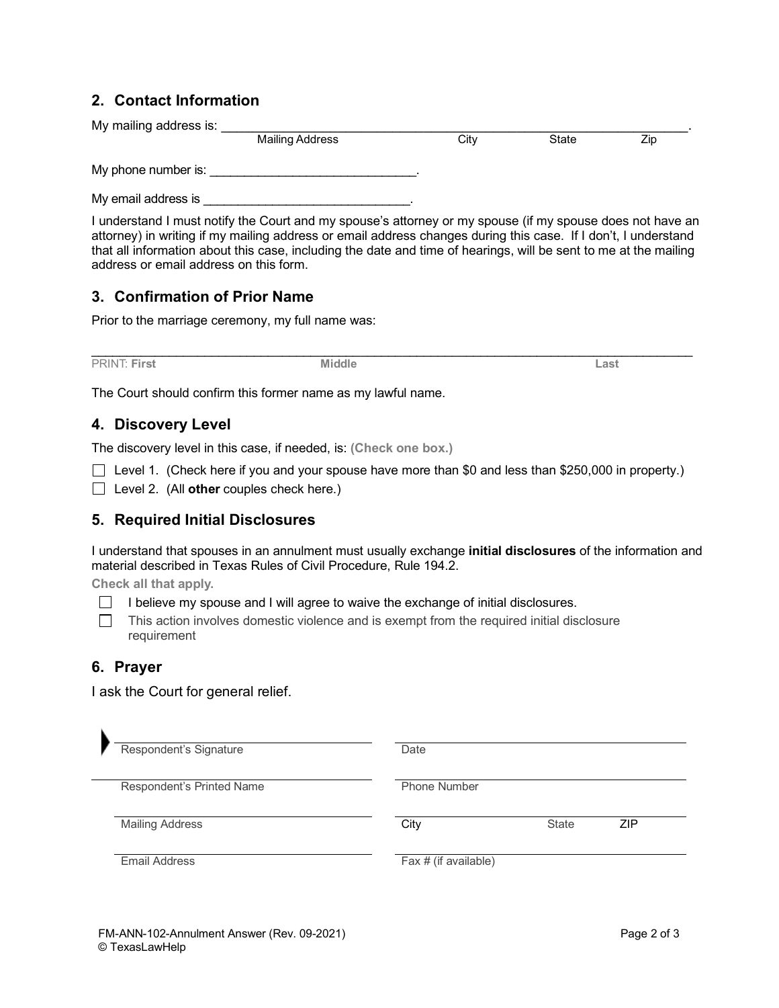## **2. Contact Information**

My mailing address is: \_\_\_\_\_\_\_\_\_\_\_\_\_\_\_\_\_\_\_\_\_\_\_\_\_\_\_\_\_\_\_\_\_\_\_\_\_\_\_\_\_\_\_\_\_\_\_\_\_\_\_\_\_\_\_\_\_\_\_\_. **Mailing Address** My phone number is:

My email address is

I understand I must notify the Court and my spouse's attorney or my spouse (if my spouse does not have an attorney) in writing if my mailing address or email address changes during this case. If I don't, I understand that all information about this case, including the date and time of hearings, will be sent to me at the mailing address or email address on this form.

#### **3. Confirmation of Prior Name**

Prior to the marriage ceremony, my full name was:

\_\_\_\_\_\_\_\_\_\_\_\_\_\_\_\_\_\_\_\_\_\_\_\_\_\_\_\_\_\_\_\_\_\_\_\_\_\_\_\_\_\_\_\_\_\_\_\_\_\_\_\_\_\_\_\_\_\_\_\_\_\_\_\_\_\_\_\_\_\_\_\_\_\_\_\_\_\_\_\_\_\_\_\_\_ PRINT: **First Middle Last**

The Court should confirm this former name as my lawful name.

### **4. Discovery Level**

The discovery level in this case, if needed, is: **(Check one box.)**

Level 1. (Check here if you and your spouse have more than \$0 and less than \$250,000 in property.)

Level 2. (All **other** couples check here.)

#### **5. Required Initial Disclosures**

I understand that spouses in an annulment must usually exchange **initial disclosures** of the information and material described in Texas Rules of Civil Procedure, Rule 194.2.

**Check all that apply.**

- I believe my spouse and I will agree to waive the exchange of initial disclosures.  $\Box$
- $\Box$ This action involves domestic violence and is exempt from the required initial disclosure requirement

## **6. Prayer**

N

I ask the Court for general relief.

| Respondent's Signature    | Date                   |              |     |  |
|---------------------------|------------------------|--------------|-----|--|
| Respondent's Printed Name | <b>Phone Number</b>    |              |     |  |
| <b>Mailing Address</b>    | City                   | <b>State</b> | ZIP |  |
| Email Address             | Fax $#$ (if available) |              |     |  |